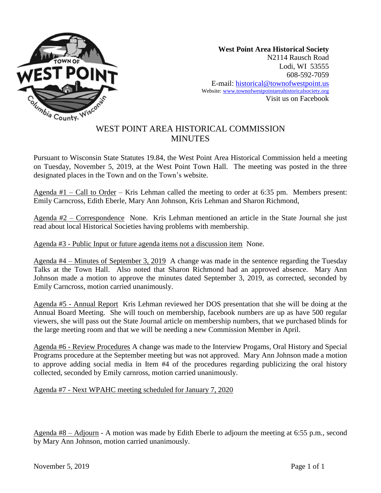

**West Point Area Historical Society** N2114 Rausch Road Lodi, WI 53555 608-592-7059 E-mail: historical@townofwestpoint.us Website: www.townofwestpointareahistoricalsociety.org Visit us on Facebook

## WEST POINT AREA HISTORICAL COMMISSION **MINUTES**

Pursuant to Wisconsin State Statutes 19.84, the West Point Area Historical Commission held a meeting on Tuesday, November 5, 2019, at the West Point Town Hall. The meeting was posted in the three designated places in the Town and on the Town's website.

Agenda #1 – Call to Order – Kris Lehman called the meeting to order at 6:35 pm. Members present: Emily Carncross, Edith Eberle, Mary Ann Johnson, Kris Lehman and Sharon Richmond,

Agenda #2 – Correspondence None. Kris Lehman mentioned an article in the State Journal she just read about local Historical Societies having problems with membership.

Agenda #3 - Public Input or future agenda items not a discussion item None.

Agenda #4 – Minutes of September 3, 2019 A change was made in the sentence regarding the Tuesday Talks at the Town Hall. Also noted that Sharon Richmond had an approved absence. Mary Ann Johnson made a motion to approve the minutes dated September 3, 2019, as corrected, seconded by Emily Carncross, motion carried unanimously.

Agenda #5 - Annual Report Kris Lehman reviewed her DOS presentation that she will be doing at the Annual Board Meeting. She will touch on membership, facebook numbers are up as have 500 regular viewers, she will pass out the State Journal article on membership numbers, that we purchased blinds for the large meeting room and that we will be needing a new Commission Member in April.

Agenda #6 - Review Procedures A change was made to the Interview Progams, Oral History and Special Programs procedure at the September meeting but was not approved. Mary Ann Johnson made a motion to approve adding social media in Item #4 of the procedures regarding publicizing the oral history collected, seconded by Emily carnross, motion carried unanimously.

Agenda #7 - Next WPAHC meeting scheduled for January 7, 2020

Agenda #8 – Adjourn - A motion was made by Edith Eberle to adjourn the meeting at 6:55 p.m., second by Mary Ann Johnson, motion carried unanimously.